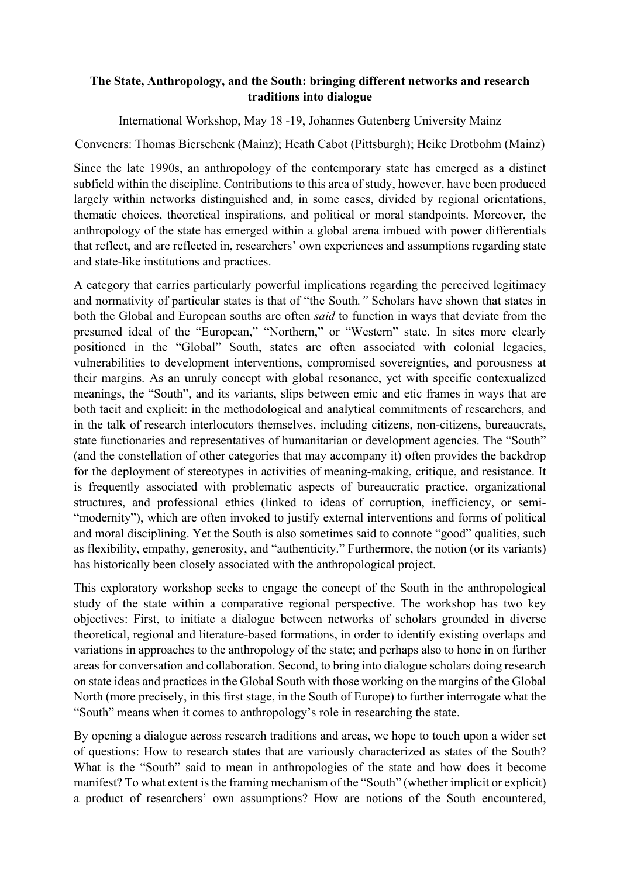## **The State, Anthropology, and the South: bringing different networks and research traditions into dialogue**

International Workshop, May 18 -19, Johannes Gutenberg University Mainz

Conveners: Thomas Bierschenk (Mainz); Heath Cabot (Pittsburgh); Heike Drotbohm (Mainz)

Since the late 1990s, an anthropology of the contemporary state has emerged as a distinct subfield within the discipline. Contributions to this area of study, however, have been produced largely within networks distinguished and, in some cases, divided by regional orientations, thematic choices, theoretical inspirations, and political or moral standpoints. Moreover, the anthropology of the state has emerged within a global arena imbued with power differentials that reflect, and are reflected in, researchers' own experiences and assumptions regarding state and state-like institutions and practices.

A category that carries particularly powerful implications regarding the perceived legitimacy and normativity of particular states is that of "the South*."* Scholars have shown that states in both the Global and European souths are often *said* to function in ways that deviate from the presumed ideal of the "European," "Northern," or "Western" state. In sites more clearly positioned in the "Global" South, states are often associated with colonial legacies, vulnerabilities to development interventions, compromised sovereignties, and porousness at their margins. As an unruly concept with global resonance, yet with specific contexualized meanings, the "South", and its variants, slips between emic and etic frames in ways that are both tacit and explicit: in the methodological and analytical commitments of researchers, and in the talk of research interlocutors themselves, including citizens, non-citizens, bureaucrats, state functionaries and representatives of humanitarian or development agencies. The "South" (and the constellation of other categories that may accompany it) often provides the backdrop for the deployment of stereotypes in activities of meaning-making, critique, and resistance. It is frequently associated with problematic aspects of bureaucratic practice, organizational structures, and professional ethics (linked to ideas of corruption, inefficiency, or semi- "modernity"), which are often invoked to justify external interventions and forms of political and moral disciplining. Yet the South is also sometimes said to connote "good" qualities, such as flexibility, empathy, generosity, and "authenticity." Furthermore, the notion (or its variants) has historically been closely associated with the anthropological project.

This exploratory workshop seeks to engage the concept of the South in the anthropological study of the state within a comparative regional perspective. The workshop has two key objectives: First, to initiate a dialogue between networks of scholars grounded in diverse theoretical, regional and literature-based formations, in order to identify existing overlaps and variations in approaches to the anthropology of the state; and perhaps also to hone in on further areas for conversation and collaboration. Second, to bring into dialogue scholars doing research on state ideas and practices in the Global South with those working on the margins of the Global North (more precisely, in this first stage, in the South of Europe) to further interrogate what the "South" means when it comes to anthropology's role in researching the state.

By opening a dialogue across research traditions and areas, we hope to touch upon a wider set of questions: How to research states that are variously characterized as states of the South? What is the "South" said to mean in anthropologies of the state and how does it become manifest? To what extent is the framing mechanism of the "South" (whether implicit or explicit) a product of researchers' own assumptions? How are notions of the South encountered,